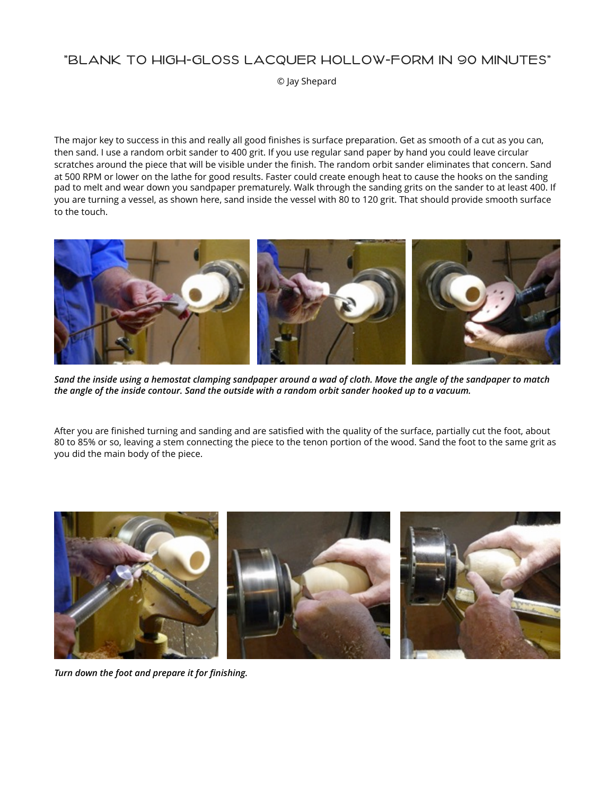### "BLANK TO HIGH-GLOSS LACQUER HOLLOW-FORM IN 90 MINUTES"

© Jay Shepard

The major key to success in this and really all good finishes is surface preparation. Get as smooth of a cut as you can, then sand. I use a random orbit sander to 400 grit. If you use regular sand paper by hand you could leave circular scratches around the piece that will be visible under the finish. The random orbit sander eliminates that concern. Sand at 500 RPM or lower on the lathe for good results. Faster could create enough heat to cause the hooks on the sanding pad to melt and wear down you sandpaper prematurely. Walk through the sanding grits on the sander to at least 400. If you are turning a vessel, as shown here, sand inside the vessel with 80 to 120 grit. That should provide smooth surface to the touch.



*Sand the inside using a hemostat clamping sandpaper around a wad of cloth. Move the angle of the sandpaper to match the angle of the inside contour. Sand the outside with a random orbit sander hooked up to a vacuum.* 

After you are finished turning and sanding and are satisfied with the quality of the surface, partially cut the foot, about 80 to 85% or so, leaving a stem connecting the piece to the tenon portion of the wood. Sand the foot to the same grit as you did the main body of the piece.



*Turn down the foot and prepare it for finishing.*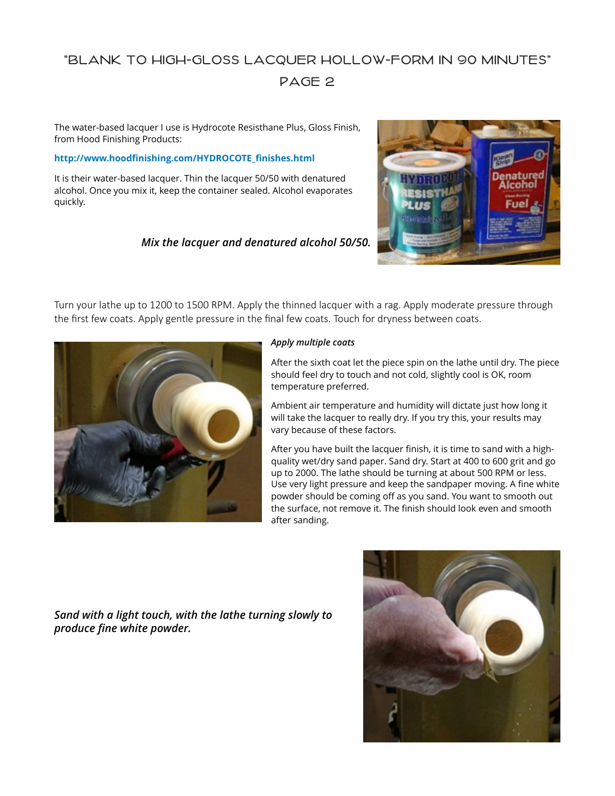## "BLANK TO HIGH-GLOSS LACQUER HOLLOW-FORM IN 90 MINUTES" PAGE 2

The water-based lacquer I use is Hydrocote Resisthane Plus, Gloss Finish, from Hood Finishing Products:

#### **http://www.hoodfi[nishing.com/HYDROCOTE\\_](http://www.hoodfinishing.com/HYDROCOTE_finishes.html)finishes.html**

It is their water-based lacquer. Thin the lacquer 50/50 with denatured alcohol. Once you mix it, keep the container sealed. Alcohol evaporates quickly.

### *Mix the lacquer and denatured alcohol 50/50.*



Turn your lathe up to 1200 to 1500 RPM. Apply the thinned lacquer with a rag. Apply moderate pressure through the first few coats. Apply gentle pressure in the final few coats. Touch for dryness between coats.



#### *Apply multiple coats*

After the sixth coat let the piece spin on the lathe until dry. The piece should feel dry to touch and not cold, slightly cool is OK, room temperature preferred.

Ambient air temperature and humidity will dictate just how long it will take the lacquer to really dry. If you try this, your results may vary because of these factors.

After you have built the lacquer finish, it is time to sand with a highquality wet/dry sand paper. Sand dry. Start at 400 to 600 grit and go up to 2000. The lathe should be turning at about 500 RPM or less. Use very light pressure and keep the sandpaper moving. A fine white powder should be coming off as you sand. You want to smooth out the surface, not remove it. The finish should look even and smooth after sanding.

*Sand with a light touch, with the lathe turning slowly to produce fine white powder.*